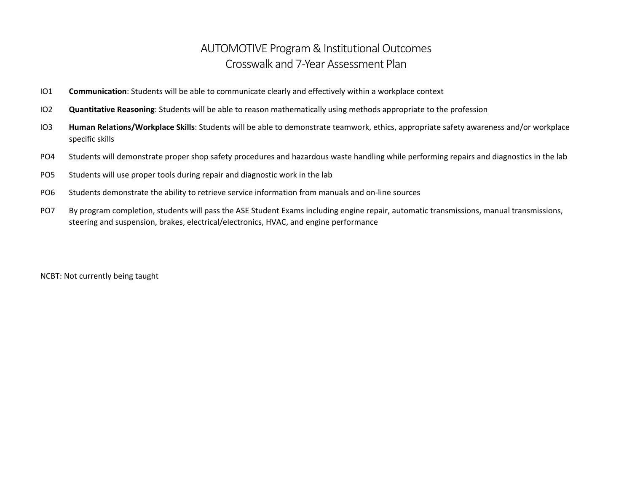## AUTOMOTIVE Program & Institutional Outcomes Crosswalk and 7-Year Assessment Plan

- IO1 **Communication**: Students will be able to communicate clearly and effectively within a workplace context
- IO2 **Quantitative Reasoning**: Students will be able to reason mathematically using methods appropriate to the profession
- IO3 **Human Relations/Workplace Skills**: Students will be able to demonstrate teamwork, ethics, appropriate safety awareness and/or workplace specific skills
- PO4 Students will demonstrate proper shop safety procedures and hazardous waste handling while performing repairs and diagnostics in the lab
- PO5 Students will use proper tools during repair and diagnostic work in the lab
- PO6 Students demonstrate the ability to retrieve service information from manuals and on-line sources
- PO7 By program completion, students will pass the ASE Student Exams including engine repair, automatic transmissions, manual transmissions, steering and suspension, brakes, electrical/electronics, HVAC, and engine performance

NCBT: Not currently being taught